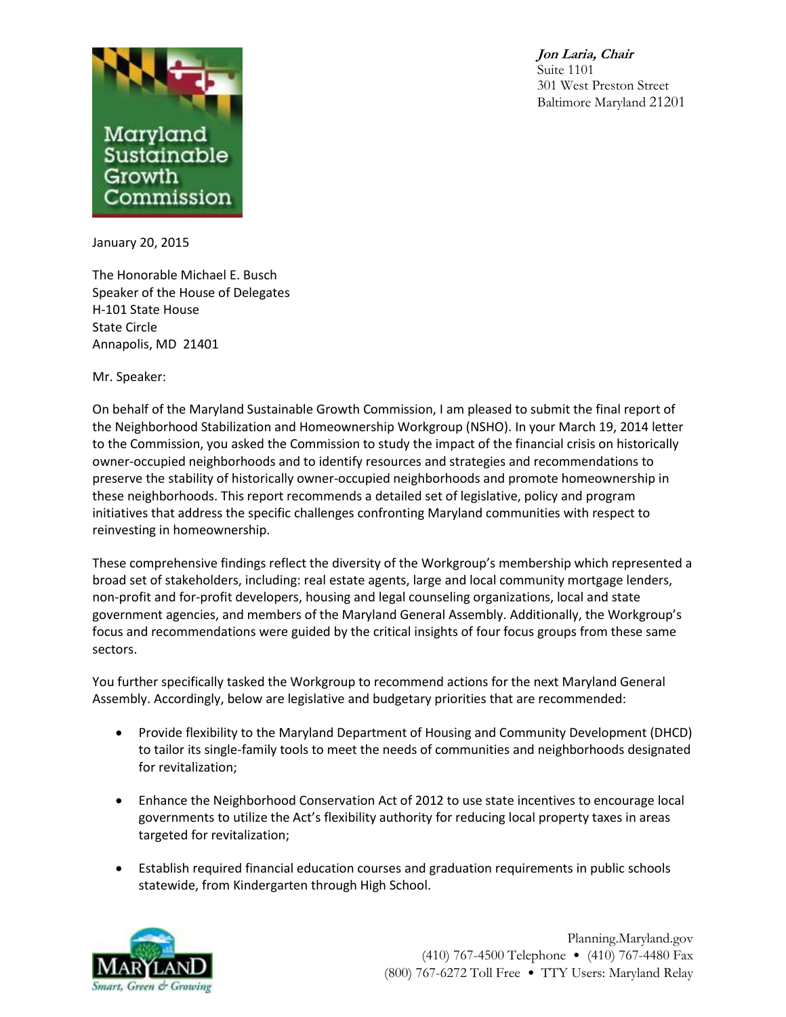



January 20, 2015

The Honorable Michael E. Busch Speaker of the House of Delegates H-101 State House State Circle Annapolis, MD 21401

Mr. Speaker:

On behalf of the Maryland Sustainable Growth Commission, I am pleased to submit the final report of the Neighborhood Stabilization and Homeownership Workgroup (NSHO). In your March 19, 2014 letter to the Commission, you asked the Commission to study the impact of the financial crisis on historically owner-occupied neighborhoods and to identify resources and strategies and recommendations to preserve the stability of historically owner-occupied neighborhoods and promote homeownership in these neighborhoods. This report recommends a detailed set of legislative, policy and program initiatives that address the specific challenges confronting Maryland communities with respect to reinvesting in homeownership.

These comprehensive findings reflect the diversity of the Workgroup's membership which represented a broad set of stakeholders, including: real estate agents, large and local community mortgage lenders, non-profit and for-profit developers, housing and legal counseling organizations, local and state government agencies, and members of the Maryland General Assembly. Additionally, the Workgroup's focus and recommendations were guided by the critical insights of four focus groups from these same sectors.

You further specifically tasked the Workgroup to recommend actions for the next Maryland General Assembly. Accordingly, below are legislative and budgetary priorities that are recommended:

- Provide flexibility to the Maryland Department of Housing and Community Development (DHCD) to tailor its single-family tools to meet the needs of communities and neighborhoods designated for revitalization;
- Enhance the Neighborhood Conservation Act of 2012 to use state incentives to encourage local governments to utilize the Act's flexibility authority for reducing local property taxes in areas targeted for revitalization;
- Establish required financial education courses and graduation requirements in public schools statewide, from Kindergarten through High School.



Planning.Maryland.gov (410) 767-4500 Telephone • (410) 767-4480 Fax (800) 767-6272 Toll Free • TTY Users: Maryland Relay